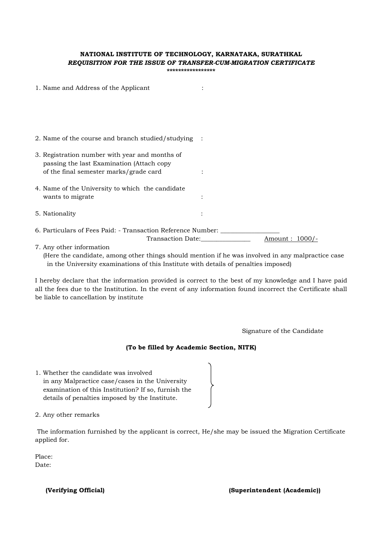## **NATIONAL INSTITUTE OF TECHNOLOGY, KARNATAKA, SURATHKAL**  *REQUISITION FOR THE ISSUE OF TRANSFER-CUM-MIGRATION CERTIFICATE*

**\*\*\*\*\*\*\*\*\*\*\*\*\*\*\*\*\*** 

|                                                                             | 1. Name and Address of the Applicant                                                        |                   |                   |
|-----------------------------------------------------------------------------|---------------------------------------------------------------------------------------------|-------------------|-------------------|
|                                                                             |                                                                                             |                   |                   |
|                                                                             |                                                                                             |                   |                   |
|                                                                             | 2. Name of the course and branch studied/studying                                           |                   |                   |
|                                                                             | 3. Registration number with year and months of<br>passing the last Examination (Attach copy |                   |                   |
|                                                                             | of the final semester marks/grade card                                                      |                   |                   |
|                                                                             | 4. Name of the University to which the candidate                                            |                   |                   |
|                                                                             | wants to migrate                                                                            |                   |                   |
|                                                                             | 5. Nationality                                                                              |                   |                   |
| 6. Particulars of Fees Paid: - Transaction Reference Number: ______________ |                                                                                             |                   |                   |
|                                                                             |                                                                                             | Transaction Date: | Amount : $1000/-$ |
|                                                                             | 7. Any other information                                                                    |                   |                   |

 (Here the candidate, among other things should mention if he was involved in any malpractice case in the University examinations of this Institute with details of penalties imposed)

I hereby declare that the information provided is correct to the best of my knowledge and I have paid all the fees due to the Institution. In the event of any information found incorrect the Certificate shall be liable to cancellation by institute

Signature of the Candidate

## **(To be filled by Academic Section, NITK)**

1. Whether the candidate was involved in any Malpractice case/cases in the University examination of this Institution? If so, furnish the details of penalties imposed by the Institute.

2. Any other remarks

 The information furnished by the applicant is correct, He/she may be issued the Migration Certificate applied for.

Place: Date: